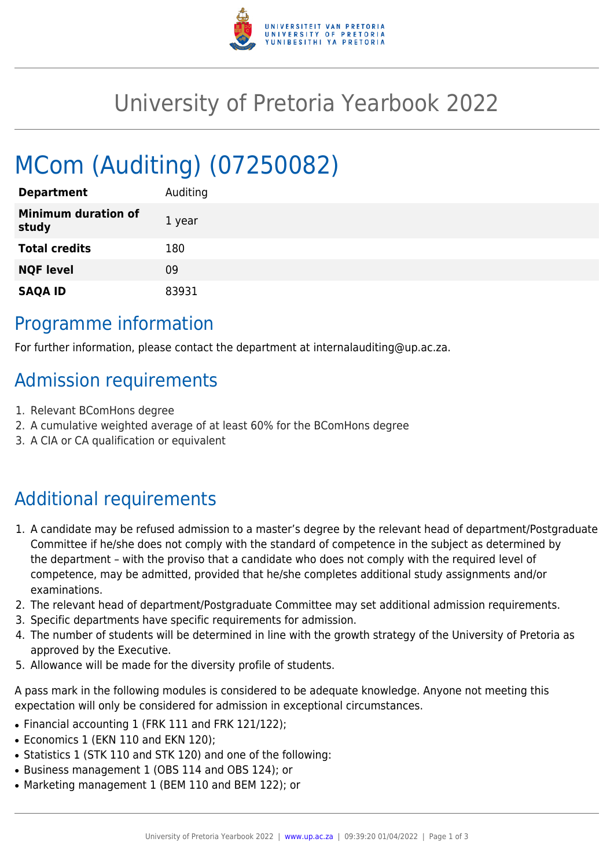

## University of Pretoria Yearbook 2022

# MCom (Auditing) (07250082)

| <b>Department</b>                   | Auditing |
|-------------------------------------|----------|
| <b>Minimum duration of</b><br>study | 1 year   |
| <b>Total credits</b>                | 180      |
| <b>NQF level</b>                    | 09       |
| <b>SAQA ID</b>                      | 83931    |

#### Programme information

For further information, please contact the department at internalauditing@up.ac.za.

### Admission requirements

- 1. Relevant BComHons degree
- 2. A cumulative weighted average of at least 60% for the BComHons degree
- 3. A CIA or CA qualification or equivalent

## Additional requirements

- 1. A candidate may be refused admission to a master's degree by the relevant head of department/Postgraduate Committee if he/she does not comply with the standard of competence in the subject as determined by the department – with the proviso that a candidate who does not comply with the required level of competence, may be admitted, provided that he/she completes additional study assignments and/or examinations.
- 2. The relevant head of department/Postgraduate Committee may set additional admission requirements.
- 3. Specific departments have specific requirements for admission.
- 4. The number of students will be determined in line with the growth strategy of the University of Pretoria as approved by the Executive.
- 5. Allowance will be made for the diversity profile of students.

A pass mark in the following modules is considered to be adequate knowledge. Anyone not meeting this expectation will only be considered for admission in exceptional circumstances.

- Financial accounting 1 (FRK 111 and FRK 121/122);
- Economics 1 (EKN 110 and EKN 120);
- Statistics 1 (STK 110 and STK 120) and one of the following:
- Business management 1 (OBS 114 and OBS 124); or
- Marketing management 1 (BEM 110 and BEM 122); or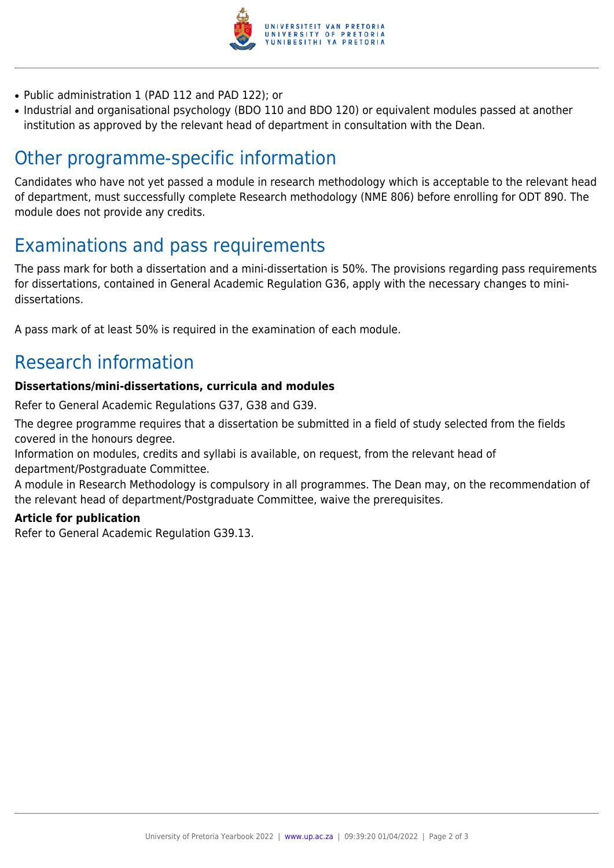

- Public administration 1 (PAD 112 and PAD 122); or
- Industrial and organisational psychology (BDO 110 and BDO 120) or equivalent modules passed at another institution as approved by the relevant head of department in consultation with the Dean.

### Other programme-specific information

Candidates who have not yet passed a module in research methodology which is acceptable to the relevant head of department, must successfully complete Research methodology (NME 806) before enrolling for ODT 890. The module does not provide any credits.

### Examinations and pass requirements

The pass mark for both a dissertation and a mini-dissertation is 50%. The provisions regarding pass requirements for dissertations, contained in General Academic Regulation G36, apply with the necessary changes to minidissertations.

A pass mark of at least 50% is required in the examination of each module.

### Research information

#### **Dissertations/mini-dissertations, curricula and modules**

Refer to General Academic Regulations G37, G38 and G39.

The degree programme requires that a dissertation be submitted in a field of study selected from the fields covered in the honours degree.

Information on modules, credits and syllabi is available, on request, from the relevant head of department/Postgraduate Committee.

A module in Research Methodology is compulsory in all programmes. The Dean may, on the recommendation of the relevant head of department/Postgraduate Committee, waive the prerequisites.

#### **Article for publication**

Refer to General Academic Regulation G39.13.